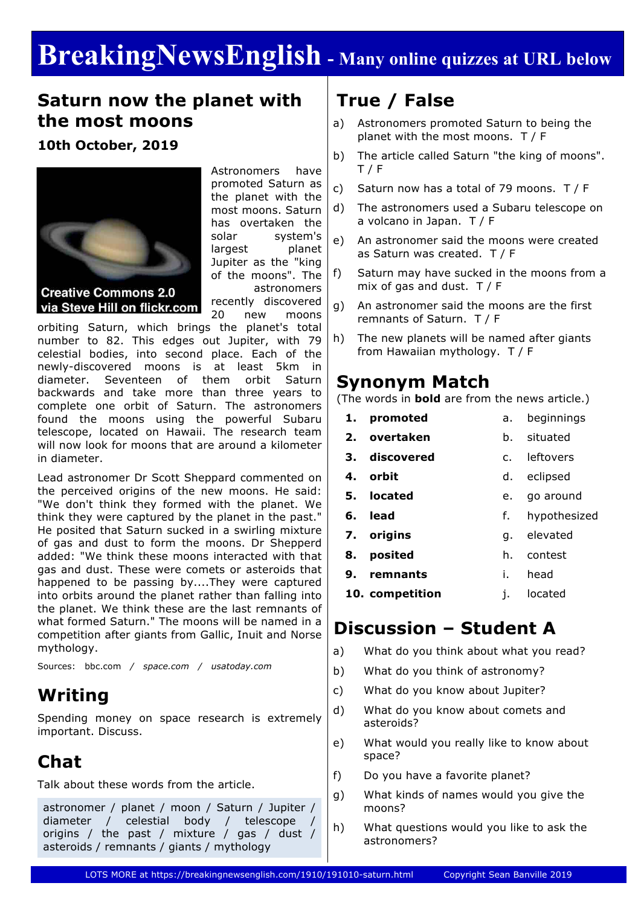# **BreakingNewsEnglish - Many online quizzes at URL below**

#### **Saturn now the planet with the most moons**

#### **10th October, 2019**



via Steve Hill on flickr.com

Astronomers have promoted Saturn as the planet with the most moons. Saturn has overtaken the solar system's largest planet Jupiter as the "king of the moons". The astronomers recently discovered 20 new moons

orbiting Saturn, which brings the planet's total number to 82. This edges out Jupiter, with 79 celestial bodies, into second place. Each of the newly-discovered moons is at least 5km in diameter. Seventeen of them orbit Saturn backwards and take more than three years to complete one orbit of Saturn. The astronomers found the moons using the powerful Subaru telescope, located on Hawaii. The research team will now look for moons that are around a kilometer in diameter.

Lead astronomer Dr Scott Sheppard commented on the perceived origins of the new moons. He said: "We don't think they formed with the planet. We think they were captured by the planet in the past." He posited that Saturn sucked in a swirling mixture of gas and dust to form the moons. Dr Shepperd added: "We think these moons interacted with that gas and dust. These were comets or asteroids that happened to be passing by....They were captured into orbits around the planet rather than falling into the planet. We think these are the last remnants of what formed Saturn." The moons will be named in a competition after giants from Gallic, Inuit and Norse mythology.

Sources: bbc.com */ space.com / usatoday.com*

### **Writing**

Spending money on space research is extremely important. Discuss.

## **Chat**

Talk about these words from the article.

astronomer / planet / moon / Saturn / Jupiter / diameter / celestial body / telescope origins / the past / mixture / gas / dust / asteroids / remnants / giants / mythology

# **True / False**

- a) Astronomers promoted Saturn to being the planet with the most moons. T / F
- b) The article called Saturn "the king of moons". T / F
- c) Saturn now has a total of 79 moons. T / F
- d) The astronomers used a Subaru telescope on a volcano in Japan. T / F
- e) An astronomer said the moons were created as Saturn was created. T / F
- f) Saturn may have sucked in the moons from a mix of gas and dust.  $T / F$
- g) An astronomer said the moons are the first remnants of Saturn. T / F
- h) The new planets will be named after giants from Hawaiian mythology. T / F

#### **Synonym Match**

(The words in **bold** are from the news article.)

- **1. promoted** a. beginnings
- **2. overtaken** b. situated
- **3. discovered** c. leftovers
- **4. orbit** d. eclipsed
- **5. located** e. go around
- **6. lead** f. hypothesized
- 
- **7. origins** g. elevated
- **8. posited** h. contest
- **9. remnants** i. head
- **10. competition** j. located

### **Discussion – Student A**

- a) What do you think about what you read?
- b) What do you think of astronomy?
- c) What do you know about Jupiter?
- d) What do you know about comets and asteroids?
- e) What would you really like to know about space?
- f) Do you have a favorite planet?
- g) What kinds of names would you give the moons?
- h) What questions would you like to ask the astronomers?